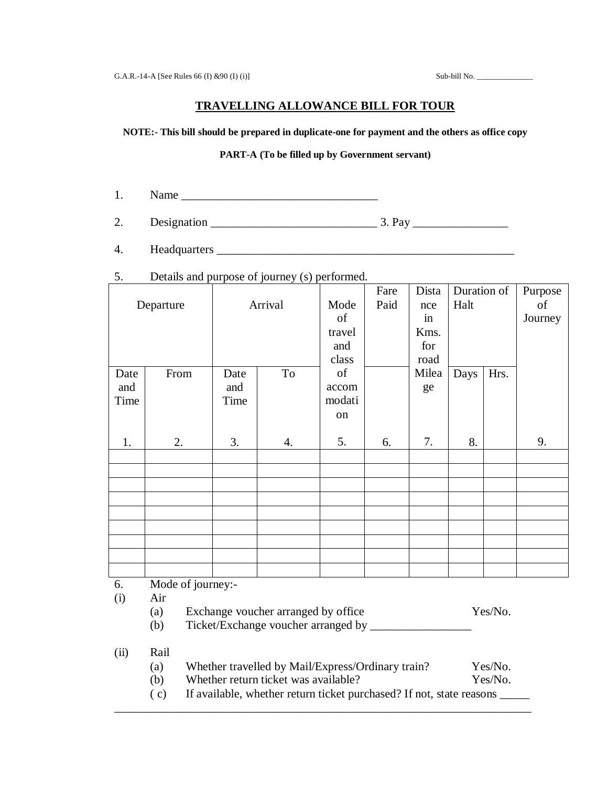# **TRAVELLING ALLOWANCE BILL FOR TOUR**

### **NOTE:- This bill should be prepared in duplicate-one for payment and the others as office copy**

#### **PART-A (To be filled up by Government servant)**

- 1. Name \_\_\_\_\_\_\_\_\_\_\_\_\_\_\_\_\_\_\_\_\_\_\_\_\_\_\_\_\_\_\_\_\_
- 2. Designation \_\_\_\_\_\_\_\_\_\_\_\_\_\_\_\_\_\_\_\_\_\_\_\_\_\_\_\_ 3. Pay \_\_\_\_\_\_\_\_\_\_\_\_\_\_\_\_
- 4. Headquarters \_\_\_\_\_\_\_\_\_\_\_\_\_\_\_\_\_\_\_\_\_\_\_\_\_\_\_\_\_\_\_\_\_\_\_\_\_\_\_\_\_\_\_\_\_\_\_\_\_\_
- 5. Details and purpose of journey (s) performed.

|            |                  |         |    |        | Fare | Dista | Duration of |      | Purpose |
|------------|------------------|---------|----|--------|------|-------|-------------|------|---------|
| Departure  |                  | Arrival |    | Mode   | Paid | nce   | Halt        |      | of      |
|            |                  |         |    | of     |      | in    |             |      | Journey |
|            |                  |         |    | travel |      | Kms.  |             |      |         |
|            |                  |         |    | and    |      | for   |             |      |         |
|            |                  |         |    | class  |      | road  |             |      |         |
| Date       | From             | Date    | To | of     |      | Milea | Days        | Hrs. |         |
| and        |                  | and     |    | accom  |      | ge    |             |      |         |
| Time       |                  | Time    |    | modati |      |       |             |      |         |
|            |                  |         |    | on     |      |       |             |      |         |
|            |                  |         |    |        |      |       |             |      |         |
| 1.         | 2.               | 3.      | 4. | 5.     | 6.   | 7.    | 8.          |      | 9.      |
|            |                  |         |    |        |      |       |             |      |         |
|            |                  |         |    |        |      |       |             |      |         |
|            |                  |         |    |        |      |       |             |      |         |
|            |                  |         |    |        |      |       |             |      |         |
|            |                  |         |    |        |      |       |             |      |         |
|            |                  |         |    |        |      |       |             |      |         |
|            |                  |         |    |        |      |       |             |      |         |
|            |                  |         |    |        |      |       |             |      |         |
|            |                  |         |    |        |      |       |             |      |         |
| $\epsilon$ | Mode of journary |         |    |        |      |       |             |      |         |

- 6. Mode of journey:-
- (i) Air
	- (a) Exchange voucher arranged by office Yes/No.
	- (b) Ticket/Exchange voucher arranged by \_\_\_\_\_\_\_\_\_\_\_\_\_\_\_\_\_

## (ii) Rail

- (a) Whether travelled by Mail/Express/Ordinary train? Yes/No.
- (b) Whether return ticket was available? Yes/No.
- ( c) If available, whether return ticket purchased? If not, state reasons \_\_\_\_\_

\_\_\_\_\_\_\_\_\_\_\_\_\_\_\_\_\_\_\_\_\_\_\_\_\_\_\_\_\_\_\_\_\_\_\_\_\_\_\_\_\_\_\_\_\_\_\_\_\_\_\_\_\_\_\_\_\_\_\_\_\_\_\_\_\_\_\_\_\_\_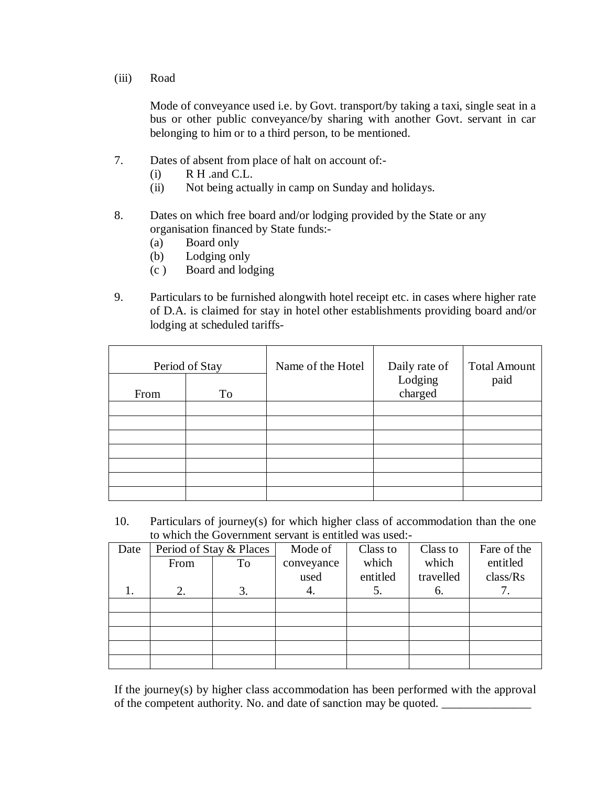(iii) Road

Mode of conveyance used i.e. by Govt. transport/by taking a taxi, single seat in a bus or other public conveyance/by sharing with another Govt. servant in car belonging to him or to a third person, to be mentioned.

- 7. Dates of absent from place of halt on account of:-
	- $(i)$  R H .and C.L.
	- (ii) Not being actually in camp on Sunday and holidays.
- 8. Dates on which free board and/or lodging provided by the State or any organisation financed by State funds:-
	- (a) Board only
	- (b) Lodging only
	- (c ) Board and lodging
- 9. Particulars to be furnished alongwith hotel receipt etc. in cases where higher rate of D.A. is claimed for stay in hotel other establishments providing board and/or lodging at scheduled tariffs-

| Period of Stay |    | Name of the Hotel | Daily rate of      | <b>Total Amount</b> |
|----------------|----|-------------------|--------------------|---------------------|
| From           | To |                   | Lodging<br>charged | paid                |
|                |    |                   |                    |                     |
|                |    |                   |                    |                     |
|                |    |                   |                    |                     |
|                |    |                   |                    |                     |
|                |    |                   |                    |                     |
|                |    |                   |                    |                     |
|                |    |                   |                    |                     |

10. Particulars of journey(s) for which higher class of accommodation than the one to which the Government servant is entitled was used:-

| Date | Period of Stay & Places |    | Mode of    | Class to | Class to  | Fare of the |
|------|-------------------------|----|------------|----------|-----------|-------------|
|      | From                    | To | conveyance | which    | which     | entitled    |
|      |                         |    | used       | entitled | travelled | class/Rs    |
|      | 2.                      | 3. | 4.         | 5.       | 6.        | 7.          |
|      |                         |    |            |          |           |             |
|      |                         |    |            |          |           |             |
|      |                         |    |            |          |           |             |
|      |                         |    |            |          |           |             |
|      |                         |    |            |          |           |             |

If the journey(s) by higher class accommodation has been performed with the approval of the competent authority. No. and date of sanction may be quoted. \_\_\_\_\_\_\_\_\_\_\_\_\_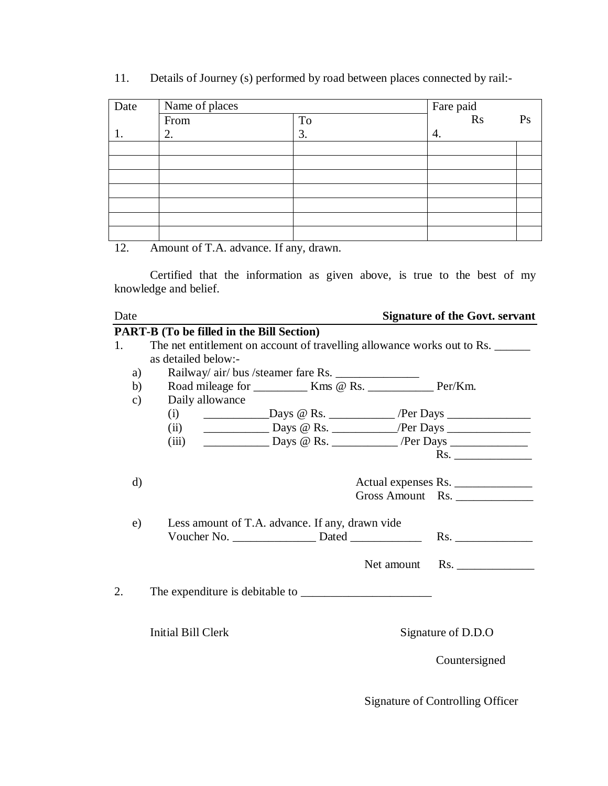11. Details of Journey (s) performed by road between places connected by rail:-

| Date | Name of places |    | Fare paid<br>Rs |    |  |
|------|----------------|----|-----------------|----|--|
|      | From           | To |                 | Ps |  |
|      | 2.             | 3. | 4.              |    |  |
|      |                |    |                 |    |  |
|      |                |    |                 |    |  |
|      |                |    |                 |    |  |
|      |                |    |                 |    |  |
|      |                |    |                 |    |  |
|      |                |    |                 |    |  |
|      |                |    |                 |    |  |

12. Amount of T.A. advance. If any, drawn.

Certified that the information as given above, is true to the best of my knowledge and belief.

| Date     |                                                                                                  | <b>Signature of the Govt. servant</b> |
|----------|--------------------------------------------------------------------------------------------------|---------------------------------------|
|          | <b>PART-B</b> (To be filled in the Bill Section)                                                 |                                       |
| 1.       | The net entitlement on account of travelling allowance works out to Rs.                          |                                       |
|          | as detailed below:-                                                                              |                                       |
| a)       | Railway/ air/ bus /steamer fare Rs.                                                              |                                       |
| b)       |                                                                                                  |                                       |
| c)       | Daily allowance                                                                                  |                                       |
|          | $Days @ Rs.$ Per Days $\_\_$<br>(i)                                                              |                                       |
|          | (ii)                                                                                             |                                       |
|          | <u>________________</u> Days @ Rs. _______________/Per Days ___________________________<br>(iii) |                                       |
|          |                                                                                                  | Rs.                                   |
|          |                                                                                                  |                                       |
| $\rm d)$ |                                                                                                  | Actual expenses Rs.                   |
|          |                                                                                                  | Gross Amount Rs.                      |
|          |                                                                                                  |                                       |
| e)       | Less amount of T.A. advance. If any, drawn vide                                                  |                                       |
|          |                                                                                                  |                                       |
|          |                                                                                                  |                                       |
|          |                                                                                                  | Net amount Rs.                        |
|          |                                                                                                  |                                       |
| 2.       |                                                                                                  |                                       |
|          |                                                                                                  |                                       |
|          |                                                                                                  |                                       |
|          | Initial Bill Clerk                                                                               | Signature of D.D.O                    |
|          |                                                                                                  |                                       |
|          |                                                                                                  | Countersigned                         |
|          |                                                                                                  |                                       |

Signature of Controlling Officer